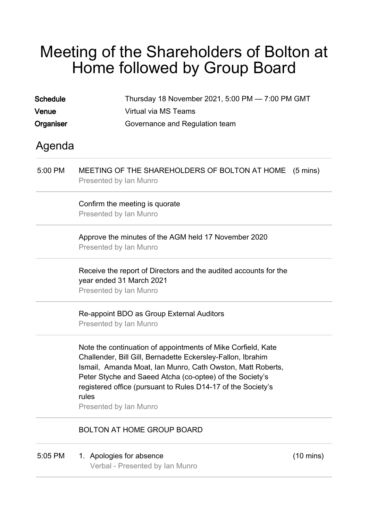## Meeting of the Shareholders of Bolton at Home followed by Group Board

| <b>Schedule</b><br>Venue | Thursday 18 November 2021, 5:00 PM - 7:00 PM GMT<br>Virtual via MS Teams                                                                                                                                                                                                                                                                                 |                     |  |
|--------------------------|----------------------------------------------------------------------------------------------------------------------------------------------------------------------------------------------------------------------------------------------------------------------------------------------------------------------------------------------------------|---------------------|--|
| Organiser                | Governance and Regulation team                                                                                                                                                                                                                                                                                                                           |                     |  |
| Agenda                   |                                                                                                                                                                                                                                                                                                                                                          |                     |  |
| 5:00 PM                  | MEETING OF THE SHAREHOLDERS OF BOLTON AT HOME<br>Presented by Ian Munro                                                                                                                                                                                                                                                                                  | $(5 \text{ mins})$  |  |
|                          | Confirm the meeting is quorate<br><b>Presented by Ian Munro</b>                                                                                                                                                                                                                                                                                          |                     |  |
|                          | Approve the minutes of the AGM held 17 November 2020<br>Presented by Ian Munro                                                                                                                                                                                                                                                                           |                     |  |
|                          | Receive the report of Directors and the audited accounts for the<br>year ended 31 March 2021<br>Presented by Ian Munro                                                                                                                                                                                                                                   |                     |  |
|                          | Re-appoint BDO as Group External Auditors<br>Presented by Ian Munro                                                                                                                                                                                                                                                                                      |                     |  |
|                          | Note the continuation of appointments of Mike Corfield, Kate<br>Challender, Bill Gill, Bernadette Eckersley-Fallon, Ibrahim<br>Ismail, Amanda Moat, Ian Munro, Cath Owston, Matt Roberts,<br>Peter Styche and Saeed Atcha (co-optee) of the Society's<br>registered office (pursuant to Rules D14-17 of the Society's<br>rules<br>Presented by Ian Munro |                     |  |
|                          | <b>BOLTON AT HOME GROUP BOARD</b>                                                                                                                                                                                                                                                                                                                        |                     |  |
| 5:05 PM                  | 1. Apologies for absence                                                                                                                                                                                                                                                                                                                                 | $(10 \text{ mins})$ |  |

Verbal - Presented by Ian Munro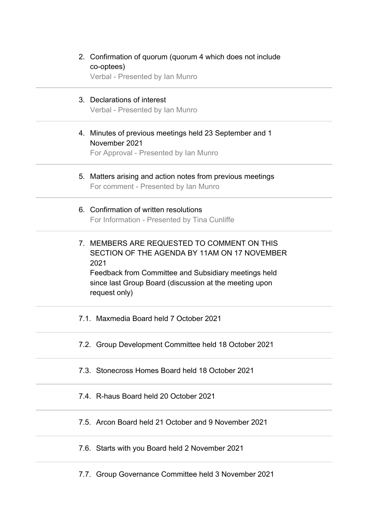| 2. Confirmation of quorum (quorum 4 which does not include<br>co-optees)<br>Verbal - Presented by Ian Munro                                                                                                                            |
|----------------------------------------------------------------------------------------------------------------------------------------------------------------------------------------------------------------------------------------|
| 3. Declarations of interest<br>Verbal - Presented by Ian Munro                                                                                                                                                                         |
| 4. Minutes of previous meetings held 23 September and 1<br>November 2021<br>For Approval - Presented by Ian Munro                                                                                                                      |
| 5. Matters arising and action notes from previous meetings<br>For comment - Presented by Ian Munro                                                                                                                                     |
| 6. Confirmation of written resolutions<br>For Information - Presented by Tina Cunliffe                                                                                                                                                 |
| 7. MEMBERS ARE REQUESTED TO COMMENT ON THIS<br>SECTION OF THE AGENDA BY 11AM ON 17 NOVEMBER<br>2021<br>Feedback from Committee and Subsidiary meetings held<br>since last Group Board (discussion at the meeting upon<br>request only) |
| 7.1. Maxmedia Board held 7 October 2021                                                                                                                                                                                                |
| 7.2. Group Development Committee held 18 October 2021                                                                                                                                                                                  |
| 7.3. Stonecross Homes Board held 18 October 2021                                                                                                                                                                                       |
| 7.4. R-haus Board held 20 October 2021                                                                                                                                                                                                 |
| 7.5. Arcon Board held 21 October and 9 November 2021                                                                                                                                                                                   |
| 7.6. Starts with you Board held 2 November 2021                                                                                                                                                                                        |
| 7.7. Group Governance Committee held 3 November 2021                                                                                                                                                                                   |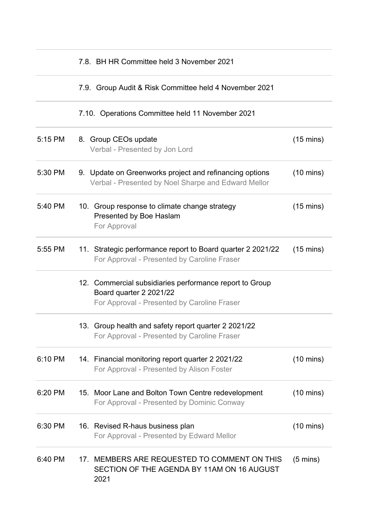|         | 7.8. BH HR Committee held 3 November 2021                                                                                         |                     |
|---------|-----------------------------------------------------------------------------------------------------------------------------------|---------------------|
|         | 7.9. Group Audit & Risk Committee held 4 November 2021                                                                            |                     |
|         | 7.10. Operations Committee held 11 November 2021                                                                                  |                     |
| 5:15 PM | 8. Group CEOs update<br>Verbal - Presented by Jon Lord                                                                            | $(15 \text{ mins})$ |
| 5:30 PM | 9. Update on Greenworks project and refinancing options<br>Verbal - Presented by Noel Sharpe and Edward Mellor                    | $(10 \text{ mins})$ |
| 5:40 PM | 10. Group response to climate change strategy<br>Presented by Boe Haslam<br>For Approval                                          | $(15 \text{ mins})$ |
| 5:55 PM | 11. Strategic performance report to Board quarter 2 2021/22<br>For Approval - Presented by Caroline Fraser                        | $(15 \text{ mins})$ |
|         | 12. Commercial subsidiaries performance report to Group<br>Board quarter 2 2021/22<br>For Approval - Presented by Caroline Fraser |                     |
|         | 13. Group health and safety report quarter 2 2021/22<br>For Approval - Presented by Caroline Fraser                               |                     |
| 6:10 PM | 14. Financial monitoring report quarter 2 2021/22<br>For Approval - Presented by Alison Foster                                    | $(10 \text{ mins})$ |
| 6:20 PM | 15. Moor Lane and Bolton Town Centre redevelopment<br>For Approval - Presented by Dominic Conway                                  | $(10 \text{ mins})$ |
| 6:30 PM | 16. Revised R-haus business plan<br>For Approval - Presented by Edward Mellor                                                     | $(10 \text{ mins})$ |
| 6:40 PM | MEMBERS ARE REQUESTED TO COMMENT ON THIS<br>17.<br>SECTION OF THE AGENDA BY 11AM ON 16 AUGUST<br>2021                             | $(5 \text{ mins})$  |